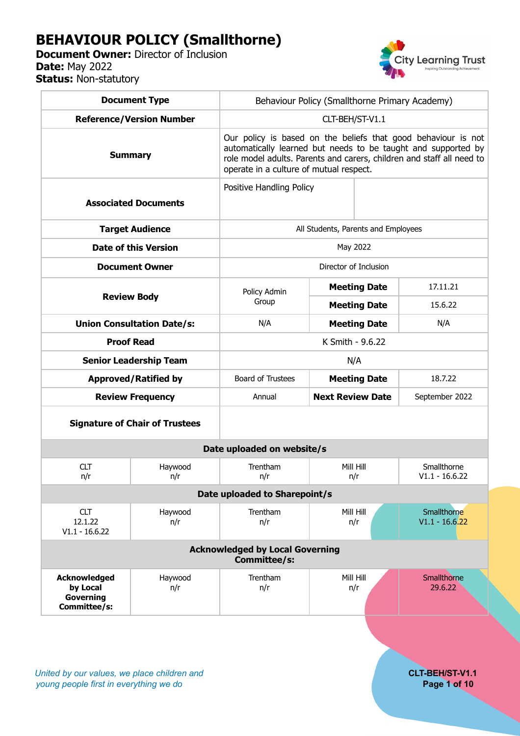# **BEHAVIOUR POLICY (Smallthorne)**

**Document Owner:** Director of Inclusion **Date:** May 2022 **Status: Non-statutory** 



| <b>Document Type</b>                                                |                                       | Behaviour Policy (Smallthorne Primary Academy)                                                                                                                                                                                                     |                         |                     |                                 |  |  |  |
|---------------------------------------------------------------------|---------------------------------------|----------------------------------------------------------------------------------------------------------------------------------------------------------------------------------------------------------------------------------------------------|-------------------------|---------------------|---------------------------------|--|--|--|
| <b>Reference/Version Number</b>                                     |                                       | CLT-BEH/ST-V1.1                                                                                                                                                                                                                                    |                         |                     |                                 |  |  |  |
| <b>Summary</b>                                                      |                                       | Our policy is based on the beliefs that good behaviour is not<br>automatically learned but needs to be taught and supported by<br>role model adults. Parents and carers, children and staff all need to<br>operate in a culture of mutual respect. |                         |                     |                                 |  |  |  |
| <b>Associated Documents</b>                                         |                                       | Positive Handling Policy                                                                                                                                                                                                                           |                         |                     |                                 |  |  |  |
| <b>Target Audience</b>                                              |                                       | All Students, Parents and Employees                                                                                                                                                                                                                |                         |                     |                                 |  |  |  |
| <b>Date of this Version</b>                                         |                                       | May 2022                                                                                                                                                                                                                                           |                         |                     |                                 |  |  |  |
| <b>Document Owner</b>                                               |                                       | Director of Inclusion                                                                                                                                                                                                                              |                         |                     |                                 |  |  |  |
| <b>Review Body</b>                                                  |                                       | Policy Admin<br>Group                                                                                                                                                                                                                              |                         | <b>Meeting Date</b> | 17.11.21                        |  |  |  |
|                                                                     |                                       |                                                                                                                                                                                                                                                    |                         | <b>Meeting Date</b> | 15.6.22                         |  |  |  |
| <b>Union Consultation Date/s:</b>                                   |                                       | N/A                                                                                                                                                                                                                                                | <b>Meeting Date</b>     |                     | N/A                             |  |  |  |
|                                                                     | <b>Proof Read</b>                     | K Smith - 9.6.22                                                                                                                                                                                                                                   |                         |                     |                                 |  |  |  |
| <b>Senior Leadership Team</b>                                       |                                       | N/A                                                                                                                                                                                                                                                |                         |                     |                                 |  |  |  |
| <b>Approved/Ratified by</b>                                         |                                       | Board of Trustees                                                                                                                                                                                                                                  |                         | <b>Meeting Date</b> | 18.7.22                         |  |  |  |
| <b>Review Frequency</b>                                             |                                       | Annual                                                                                                                                                                                                                                             | <b>Next Review Date</b> |                     | September 2022                  |  |  |  |
|                                                                     | <b>Signature of Chair of Trustees</b> |                                                                                                                                                                                                                                                    |                         |                     |                                 |  |  |  |
| Date uploaded on website/s                                          |                                       |                                                                                                                                                                                                                                                    |                         |                     |                                 |  |  |  |
| <b>CLT</b><br>n/r                                                   | Haywood<br>n/r                        | Trentham<br>n/r                                                                                                                                                                                                                                    |                         | Mill Hill<br>n/r    | Smallthorne<br>$V1.1 - 16.6.22$ |  |  |  |
| Date uploaded to Sharepoint/s                                       |                                       |                                                                                                                                                                                                                                                    |                         |                     |                                 |  |  |  |
| <b>CLT</b><br>12.1.22<br>$V1.1 - 16.6.22$                           | Haywood<br>n/r                        | Trentham<br>n/r                                                                                                                                                                                                                                    |                         | Mill Hill<br>n/r    | Smallthorne<br>$V1.1 - 16.6.22$ |  |  |  |
| <b>Acknowledged by Local Governing</b><br>Committee/s:              |                                       |                                                                                                                                                                                                                                                    |                         |                     |                                 |  |  |  |
| <b>Acknowledged</b><br>by Local<br><b>Governing</b><br>Committee/s: | Haywood<br>n/r                        | Trentham<br>n/r                                                                                                                                                                                                                                    |                         | Mill Hill<br>n/r    | Smallthorne<br>29.6.22          |  |  |  |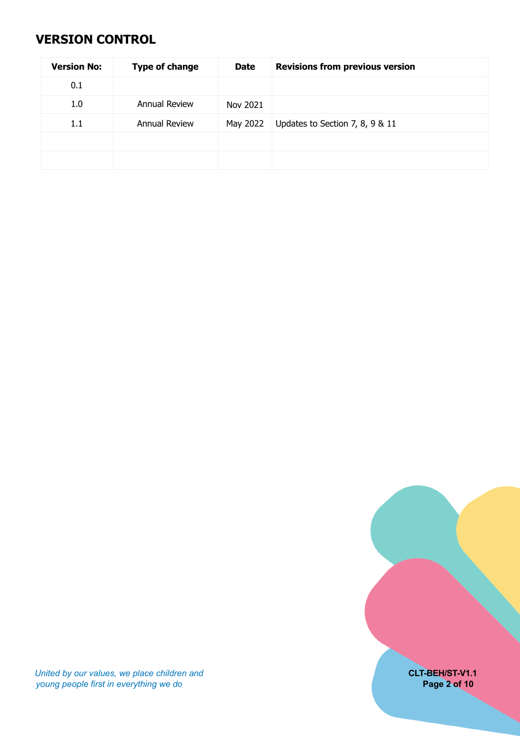# <span id="page-1-0"></span>**VERSION CONTROL**

| <b>Version No:</b> | <b>Type of change</b> | <b>Date</b> | <b>Revisions from previous version</b> |
|--------------------|-----------------------|-------------|----------------------------------------|
| 0.1                |                       |             |                                        |
| 1.0                | Annual Review         | Nov 2021    |                                        |
| 1.1                | <b>Annual Review</b>  | May 2022    | Updates to Section 7, 8, 9 & 11        |
|                    |                       |             |                                        |
|                    |                       |             |                                        |



*United by our values, we place children and* **CLT-BEH/ST-V1.1** *young people first in everything we do* **Page 2 of 10**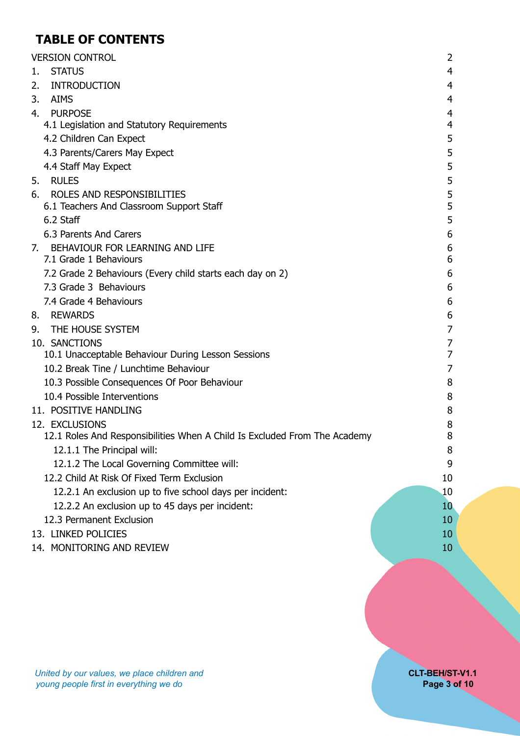# **TABLE OF CONTENTS**

|    | <b>VERSION CONTROL</b>                                                    | 2              |
|----|---------------------------------------------------------------------------|----------------|
| 1. | <b>STATUS</b>                                                             | $\overline{4}$ |
| 2. | <b>INTRODUCTION</b>                                                       | 4              |
| 3. | <b>AIMS</b>                                                               | $\overline{4}$ |
| 4. | <b>PURPOSE</b>                                                            | $\overline{4}$ |
|    | 4.1 Legislation and Statutory Requirements                                | $\overline{4}$ |
|    | 4.2 Children Can Expect                                                   | 5              |
|    | 4.3 Parents/Carers May Expect                                             | 5              |
|    | 4.4 Staff May Expect                                                      | 5              |
| 5. | <b>RULES</b>                                                              | 5              |
| 6. | ROLES AND RESPONSIBILITIES                                                | 5              |
|    | 6.1 Teachers And Classroom Support Staff                                  | 5              |
|    | 6.2 Staff                                                                 | 5              |
|    | 6.3 Parents And Carers                                                    | 6              |
|    | 7. BEHAVIOUR FOR LEARNING AND LIFE                                        | 6              |
|    | 7.1 Grade 1 Behaviours                                                    | 6              |
|    | 7.2 Grade 2 Behaviours (Every child starts each day on 2)                 | 6              |
|    | 7.3 Grade 3 Behaviours                                                    | 6              |
|    | 7.4 Grade 4 Behaviours                                                    | 6              |
| 8. | <b>REWARDS</b>                                                            | 6              |
| 9. | THE HOUSE SYSTEM                                                          | 7              |
|    | 10. SANCTIONS                                                             | 7              |
|    | 10.1 Unacceptable Behaviour During Lesson Sessions                        | 7              |
|    | 10.2 Break Tine / Lunchtime Behaviour                                     | $\overline{7}$ |
|    | 10.3 Possible Consequences Of Poor Behaviour                              | 8              |
|    | 10.4 Possible Interventions                                               | 8              |
|    | 11. POSITIVE HANDLING                                                     | 8              |
|    | 12. EXCLUSIONS                                                            | 8              |
|    | 12.1 Roles And Responsibilities When A Child Is Excluded From The Academy | 8              |
|    | 12.1.1 The Principal will:                                                | 8              |
|    | 12.1.2 The Local Governing Committee will:                                | 9              |
|    | 12.2 Child At Risk Of Fixed Term Exclusion                                | 10             |
|    | 12.2.1 An exclusion up to five school days per incident:                  | 10             |
|    | 12.2.2 An exclusion up to 45 days per incident:                           | 10             |
|    | 12.3 Permanent Exclusion                                                  | 10             |
|    | 13. LINKED POLICIES                                                       | 10             |
|    | 14. MONITORING AND REVIEW                                                 | 10             |
|    |                                                                           |                |
|    |                                                                           |                |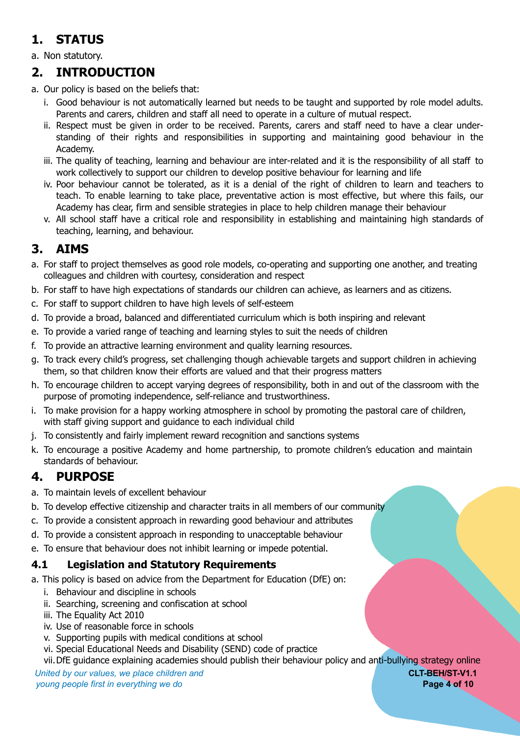# <span id="page-3-0"></span>**1. STATUS**

a. Non statutory.

# <span id="page-3-1"></span>**2. INTRODUCTION**

- a. Our policy is based on the beliefs that:
	- i. Good behaviour is not automatically learned but needs to be taught and supported by role model adults. Parents and carers, children and staff all need to operate in a culture of mutual respect.
	- ii. Respect must be given in order to be received. Parents, carers and staff need to have a clear understanding of their rights and responsibilities in supporting and maintaining good behaviour in the Academy.
	- iii. The quality of teaching, learning and behaviour are inter-related and it is the responsibility of all staff to work collectively to support our children to develop positive behaviour for learning and life
	- iv. Poor behaviour cannot be tolerated, as it is a denial of the right of children to learn and teachers to teach. To enable learning to take place, preventative action is most effective, but where this fails, our Academy has clear, firm and sensible strategies in place to help children manage their behaviour
	- v. All school staff have a critical role and responsibility in establishing and maintaining high standards of teaching, learning, and behaviour.

# <span id="page-3-2"></span>**3. AIMS**

- a. For staff to project themselves as good role models, co-operating and supporting one another, and treating colleagues and children with courtesy, consideration and respect
- b. For staff to have high expectations of standards our children can achieve, as learners and as citizens.
- c. For staff to support children to have high levels of self-esteem
- d. To provide a broad, balanced and differentiated curriculum which is both inspiring and relevant
- e. To provide a varied range of teaching and learning styles to suit the needs of children
- f. To provide an attractive learning environment and quality learning resources.
- g. To track every child's progress, set challenging though achievable targets and support children in achieving them, so that children know their efforts are valued and that their progress matters
- h. To encourage children to accept varying degrees of responsibility, both in and out of the classroom with the purpose of promoting independence, self-reliance and trustworthiness.
- i. To make provision for a happy working atmosphere in school by promoting the pastoral care of children, with staff giving support and guidance to each individual child
- j. To consistently and fairly implement reward recognition and sanctions systems
- k. To encourage a positive Academy and home partnership, to promote children's education and maintain standards of behaviour.

## <span id="page-3-3"></span>**4. PURPOSE**

- a. To maintain levels of excellent behaviour
- b. To develop effective citizenship and character traits in all members of our community
- c. To provide a consistent approach in rewarding good behaviour and attributes
- d. To provide a consistent approach in responding to unacceptable behaviour
- e. To ensure that behaviour does not inhibit learning or impede potential.

#### <span id="page-3-4"></span>**4.1 Legislation and Statutory Requirements**

a. This policy is based on advice from the Department for Education (DfE) on:

- i. Behaviour and discipline in schools
- ii. Searching, screening and confiscation at school
- iii. The Equality Act 2010
- iv. Use of reasonable force in schools
- v. Supporting pupils with medical conditions at school
- vi. Special Educational Needs and Disability (SEND) code of practice

vii.DfE guidance explaining academies should publish their behaviour policy and anti-bullying strategy online

*United by our values, we place children and* **CLT-BEH/ST-V1.1** *young people first in everything we do* **Page 4 of 10**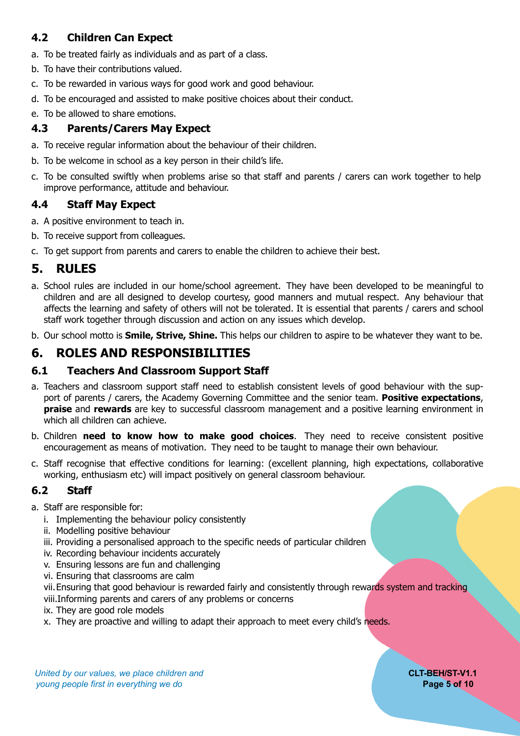### <span id="page-4-0"></span>**4.2 Children Can Expect**

- a. To be treated fairly as individuals and as part of a class.
- b. To have their contributions valued.
- c. To be rewarded in various ways for good work and good behaviour.
- d. To be encouraged and assisted to make positive choices about their conduct.
- e. To be allowed to share emotions.

#### <span id="page-4-1"></span>**4.3 Parents/Carers May Expect**

- a. To receive regular information about the behaviour of their children.
- b. To be welcome in school as a key person in their child's life.
- c. To be consulted swiftly when problems arise so that staff and parents / carers can work together to help improve performance, attitude and behaviour.

#### <span id="page-4-2"></span>**4.4 Staff May Expect**

- a. A positive environment to teach in.
- b. To receive support from colleagues.
- c. To get support from parents and carers to enable the children to achieve their best.

## <span id="page-4-3"></span>**5. RULES**

- a. School rules are included in our home/school agreement. They have been developed to be meaningful to children and are all designed to develop courtesy, good manners and mutual respect. Any behaviour that affects the learning and safety of others will not be tolerated. It is essential that parents / carers and school staff work together through discussion and action on any issues which develop.
- b. Our school motto is **Smile, Strive, Shine.** This helps our children to aspire to be whatever they want to be.

## <span id="page-4-4"></span>**6. ROLES AND RESPONSIBILITIES**

#### <span id="page-4-5"></span>**6.1 Teachers And Classroom Support Staff**

- a. Teachers and classroom support staff need to establish consistent levels of good behaviour with the support of parents / carers, the Academy Governing Committee and the senior team. **Positive expectations**, **praise** and **rewards** are key to successful classroom management and a positive learning environment in which all children can achieve.
- b. Children **need to know how to make good choices**. They need to receive consistent positive encouragement as means of motivation. They need to be taught to manage their own behaviour.
- c. Staff recognise that effective conditions for learning: (excellent planning, high expectations, collaborative working, enthusiasm etc) will impact positively on general classroom behaviour.

#### <span id="page-4-6"></span>**6.2 Staff**

#### a. Staff are responsible for:

- i. Implementing the behaviour policy consistently
- ii. Modelling positive behaviour
- iii. Providing a personalised approach to the specific needs of particular children
- iv. Recording behaviour incidents accurately
- v. Ensuring lessons are fun and challenging
- vi. Ensuring that classrooms are calm
- vii.Ensuring that good behaviour is rewarded fairly and consistently through rewards system and tracking
- viii.Informing parents and carers of any problems or concerns
- ix. They are good role models
- x. They are proactive and willing to adapt their approach to meet every child's needs.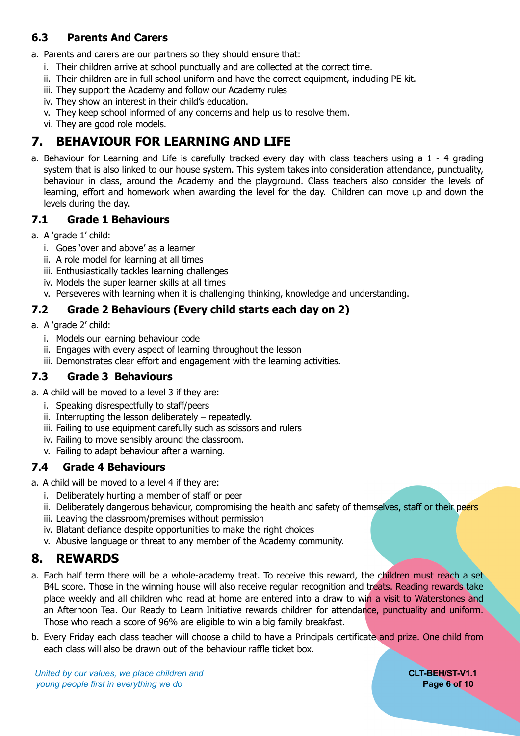### <span id="page-5-0"></span>**6.3 Parents And Carers**

a. Parents and carers are our partners so they should ensure that:

- i. Their children arrive at school punctually and are collected at the correct time.
- ii. Their children are in full school uniform and have the correct equipment, including PE kit.
- iii. They support the Academy and follow our Academy rules
- iv. They show an interest in their child's education.
- v. They keep school informed of any concerns and help us to resolve them.
- <span id="page-5-1"></span>vi. They are good role models.

# **7. BEHAVIOUR FOR LEARNING AND LIFE**

a. Behaviour for Learning and Life is carefully tracked every day with class teachers using a 1 - 4 grading system that is also linked to our house system. This system takes into consideration attendance, punctuality, behaviour in class, around the Academy and the playground. Class teachers also consider the levels of learning, effort and homework when awarding the level for the day. Children can move up and down the levels during the day.

#### <span id="page-5-2"></span>**7.1 Grade 1 Behaviours**

- a. A 'grade 1' child:
	- i. Goes 'over and above' as a learner
	- ii. A role model for learning at all times
	- iii. Enthusiastically tackles learning challenges
	- iv. Models the super learner skills at all times
	- v. Perseveres with learning when it is challenging thinking, knowledge and understanding.

### <span id="page-5-3"></span>**7.2 Grade 2 Behaviours (Every child starts each day on 2)**

- a. A 'grade 2' child:
	- i. Models our learning behaviour code
	- ii. Engages with every aspect of learning throughout the lesson
	- iii. Demonstrates clear effort and engagement with the learning activities.

#### <span id="page-5-4"></span>**7.3 Grade 3 Behaviours**

- a. A child will be moved to a level 3 if they are:
	- i. Speaking disrespectfully to staff/peers
	- ii. Interrupting the lesson deliberately repeatedly.
	- iii. Failing to use equipment carefully such as scissors and rulers
	- iv. Failing to move sensibly around the classroom.
	- v. Failing to adapt behaviour after a warning.

#### <span id="page-5-5"></span>**7.4 Grade 4 Behaviours**

- a. A child will be moved to a level 4 if they are:
	- i. Deliberately hurting a member of staff or peer
	- ii. Deliberately dangerous behaviour, compromising the health and safety of themselves, staff or their peers
	- iii. Leaving the classroom/premises without permission
	- iv. Blatant defiance despite opportunities to make the right choices
	- v. Abusive language or threat to any member of the Academy community.

## <span id="page-5-6"></span>**8. REWARDS**

- a. Each half term there will be a whole-academy treat. To receive this reward, the children must reach a set B4L score. Those in the winning house will also receive regular recognition and treats. Reading rewards take place weekly and all children who read at home are entered into a draw to win a visit to Waterstones and an Afternoon Tea. Our Ready to Learn Initiative rewards children for attendance, punctuality and uniform. Those who reach a score of 96% are eligible to win a big family breakfast.
- b. Every Friday each class teacher will choose a child to have a Principals certificate and prize. One child from each class will also be drawn out of the behaviour raffle ticket box.

*United by our values, we place children and* **CLT-BEH/ST-V1.1** *young people first in everything we do* **Page 6 of 10**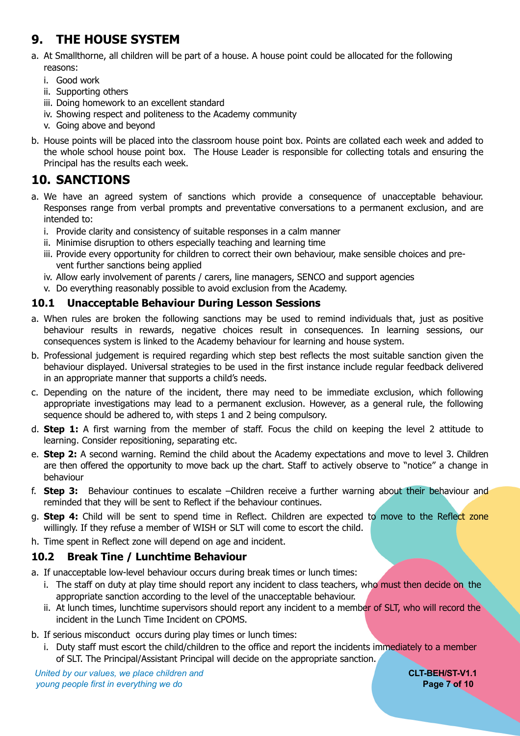# <span id="page-6-0"></span>**9. THE HOUSE SYSTEM**

- a. At Smallthorne, all children will be part of a house. A house point could be allocated for the following reasons:
	- i. Good work
	- ii. Supporting others
	- iii. Doing homework to an excellent standard
	- iv. Showing respect and politeness to the Academy community
	- v. Going above and beyond
- b. House points will be placed into the classroom house point box. Points are collated each week and added to the whole school house point box. The House Leader is responsible for collecting totals and ensuring the Principal has the results each week.

# <span id="page-6-1"></span>**10. SANCTIONS**

- a. We have an agreed system of sanctions which provide a consequence of unacceptable behaviour. Responses range from verbal prompts and preventative conversations to a permanent exclusion, and are intended to:
	- i. Provide clarity and consistency of suitable responses in a calm manner
	- ii. Minimise disruption to others especially teaching and learning time
	- iii. Provide every opportunity for children to correct their own behaviour, make sensible choices and prevent further sanctions being applied
	- iv. Allow early involvement of parents / carers, line managers, SENCO and support agencies
	- v. Do everything reasonably possible to avoid exclusion from the Academy.

#### <span id="page-6-2"></span>**10.1 Unacceptable Behaviour During Lesson Sessions**

- a. When rules are broken the following sanctions may be used to remind individuals that, just as positive behaviour results in rewards, negative choices result in consequences. In learning sessions, our consequences system is linked to the Academy behaviour for learning and house system.
- b. Professional judgement is required regarding which step best reflects the most suitable sanction given the behaviour displayed. Universal strategies to be used in the first instance include regular feedback delivered in an appropriate manner that supports a child's needs.
- c. Depending on the nature of the incident, there may need to be immediate exclusion, which following appropriate investigations may lead to a permanent exclusion. However, as a general rule, the following sequence should be adhered to, with steps 1 and 2 being compulsory.
- d. **Step 1:** A first warning from the member of staff. Focus the child on keeping the level 2 attitude to learning. Consider repositioning, separating etc.
- e. **Step 2:** A second warning. Remind the child about the Academy expectations and move to level 3. Children are then offered the opportunity to move back up the chart. Staff to actively observe to "notice" a change in behaviour
- f. **Step 3:** Behaviour continues to escalate –Children receive a further warning about their behaviour and reminded that they will be sent to Reflect if the behaviour continues.
- g. **Step 4:** Child will be sent to spend time in Reflect. Children are expected to move to the Reflect zone willingly. If they refuse a member of WISH or SLT will come to escort the child.
- h. Time spent in Reflect zone will depend on age and incident.

### <span id="page-6-3"></span>**10.2 Break Tine / Lunchtime Behaviour**

- a. If unacceptable low-level behaviour occurs during break times or lunch times:
	- i. The staff on duty at play time should report any incident to class teachers, who must then decide on the appropriate sanction according to the level of the unacceptable behaviour.
	- ii. At lunch times, lunchtime supervisors should report any incident to a member of SLT, who will record the incident in the Lunch Time Incident on CPOMS.
- b. If serious misconduct occurs during play times or lunch times:
	- i. Duty staff must escort the child/children to the office and report the incidents immediately to a member of SLT. The Principal/Assistant Principal will decide on the appropriate sanction.

*United by our values, we place children and* **CLT-BEH/ST-V1.1** *young people first in everything we do* **Page 7 of 10**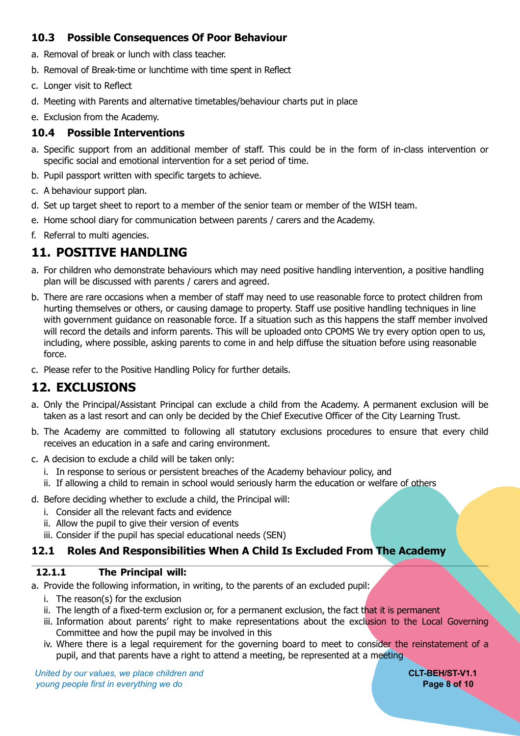#### <span id="page-7-0"></span>**10.3 Possible Consequences Of Poor Behaviour**

- a. Removal of break or lunch with class teacher.
- b. Removal of Break-time or lunchtime with time spent in Reflect
- c. Longer visit to Reflect
- d. Meeting with Parents and alternative timetables/behaviour charts put in place
- e. Exclusion from the Academy.

#### <span id="page-7-1"></span>**10.4 Possible Interventions**

- a. Specific support from an additional member of staff. This could be in the form of in-class intervention or specific social and emotional intervention for a set period of time.
- b. Pupil passport written with specific targets to achieve.
- c. A behaviour support plan.
- d. Set up target sheet to report to a member of the senior team or member of the WISH team.
- e. Home school diary for communication between parents / carers and the Academy.
- f. Referral to multi agencies.

# <span id="page-7-2"></span>**11. POSITIVE HANDLING**

- a. For children who demonstrate behaviours which may need positive handling intervention, a positive handling plan will be discussed with parents / carers and agreed.
- b. There are rare occasions when a member of staff may need to use reasonable force to protect children from hurting themselves or others, or causing damage to property. Staff use positive handling techniques in line with government guidance on reasonable force. If a situation such as this happens the staff member involved will record the details and inform parents. This will be uploaded onto CPOMS We try every option open to us, including, where possible, asking parents to come in and help diffuse the situation before using reasonable force.
- c. Please refer to the Positive Handling Policy for further details.

# <span id="page-7-3"></span>**12. EXCLUSIONS**

- a. Only the Principal/Assistant Principal can exclude a child from the Academy. A permanent exclusion will be taken as a last resort and can only be decided by the Chief Executive Officer of the City Learning Trust.
- b. The Academy are committed to following all statutory exclusions procedures to ensure that every child receives an education in a safe and caring environment.
- c. A decision to exclude a child will be taken only:
	- i. In response to serious or persistent breaches of the Academy behaviour policy, and
	- ii. If allowing a child to remain in school would seriously harm the education or welfare of others
- d. Before deciding whether to exclude a child, the Principal will:
	- i. Consider all the relevant facts and evidence
	- ii. Allow the pupil to give their version of events
	- iii. Consider if the pupil has special educational needs (SEN)

### <span id="page-7-4"></span>**12.1 Roles And Responsibilities When A Child Is Excluded From The Academy**

#### <span id="page-7-5"></span>**12.1.1 The Principal will:**

a. Provide the following information, in writing, to the parents of an excluded pupil:

- i. The reason(s) for the exclusion
- ii. The length of a fixed-term exclusion or, for a permanent exclusion, the fact that it is permanent
- iii. Information about parents' right to make representations about the exclusion to the Local Governing Committee and how the pupil may be involved in this
- iv. Where there is a legal requirement for the governing board to meet to consider the reinstatement of a pupil, and that parents have a right to attend a meeting, be represented at a meeting

*United by our values, we place children and* **CLT-BEH/ST-V1.1** *young people first in everything we do* **Page 8 of 10**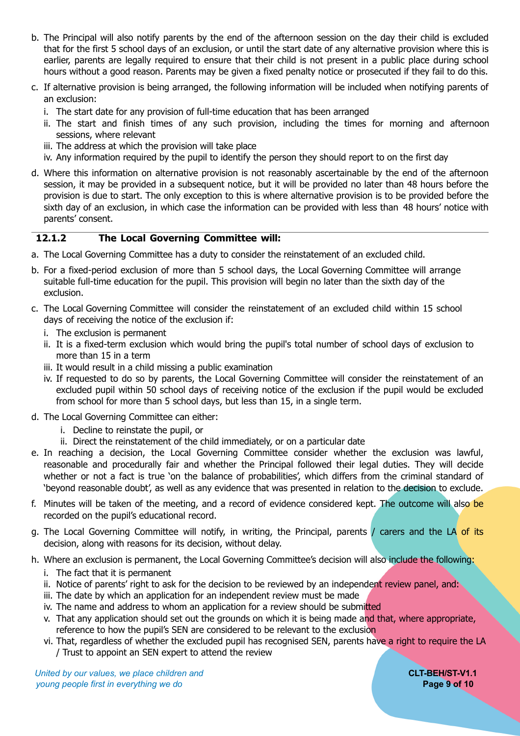- b. The Principal will also notify parents by the end of the afternoon session on the day their child is excluded that for the first 5 school days of an exclusion, or until the start date of any alternative provision where this is earlier, parents are legally required to ensure that their child is not present in a public place during school hours without a good reason. Parents may be given a fixed penalty notice or prosecuted if they fail to do this.
- c. If alternative provision is being arranged, the following information will be included when notifying parents of an exclusion:
	- i. The start date for any provision of full-time education that has been arranged
	- ii. The start and finish times of any such provision, including the times for morning and afternoon sessions, where relevant
	- iii. The address at which the provision will take place
	- iv. Any information required by the pupil to identify the person they should report to on the first day
- d. Where this information on alternative provision is not reasonably ascertainable by the end of the afternoon session, it may be provided in a subsequent notice, but it will be provided no later than 48 hours before the provision is due to start. The only exception to this is where alternative provision is to be provided before the sixth day of an exclusion, in which case the information can be provided with less than 48 hours' notice with parents' consent.

#### <span id="page-8-0"></span>**12.1.2 The Local Governing Committee will:**

- a. The Local Governing Committee has a duty to consider the reinstatement of an excluded child.
- b. For a fixed-period exclusion of more than 5 school days, the Local Governing Committee will arrange suitable full-time education for the pupil. This provision will begin no later than the sixth day of the exclusion.
- c. The Local Governing Committee will consider the reinstatement of an excluded child within 15 school days of receiving the notice of the exclusion if:
	- i. The exclusion is permanent
	- ii. It is a fixed-term exclusion which would bring the pupil's total number of school days of exclusion to more than 15 in a term
	- iii. It would result in a child missing a public examination
	- iv. If requested to do so by parents, the Local Governing Committee will consider the reinstatement of an excluded pupil within 50 school days of receiving notice of the exclusion if the pupil would be excluded from school for more than 5 school days, but less than 15, in a single term.
- d. The Local Governing Committee can either:
	- i. Decline to reinstate the pupil, or
	- ii. Direct the reinstatement of the child immediately, or on a particular date
- e. In reaching a decision, the Local Governing Committee consider whether the exclusion was lawful, reasonable and procedurally fair and whether the Principal followed their legal duties. They will decide whether or not a fact is true 'on the balance of probabilities', which differs from the criminal standard of 'beyond reasonable doubt', as well as any evidence that was presented in relation to the decision to exclude.
- f. Minutes will be taken of the meeting, and a record of evidence considered kept. The outcome will also be recorded on the pupil's educational record.
- g. The Local Governing Committee will notify, in writing, the Principal, parents / carers and the LA of its decision, along with reasons for its decision, without delay.
- h. Where an exclusion is permanent, the Local Governing Committee's decision will also include the following:
	- i. The fact that it is permanent
	- ii. Notice of parents' right to ask for the decision to be reviewed by an independent review panel, and:
	- iii. The date by which an application for an independent review must be made
	- iv. The name and address to whom an application for a review should be submitted
	- v. That any application should set out the grounds on which it is being made and that, where appropriate, reference to how the pupil's SEN are considered to be relevant to the exclusion
	- vi. That, regardless of whether the excluded pupil has recognised SEN, parents have a right to require the LA / Trust to appoint an SEN expert to attend the review

*United by our values, we place children and* **CLT-BEH/ST-V1.1** *young people first in everything we do* **Page 9 of 10**